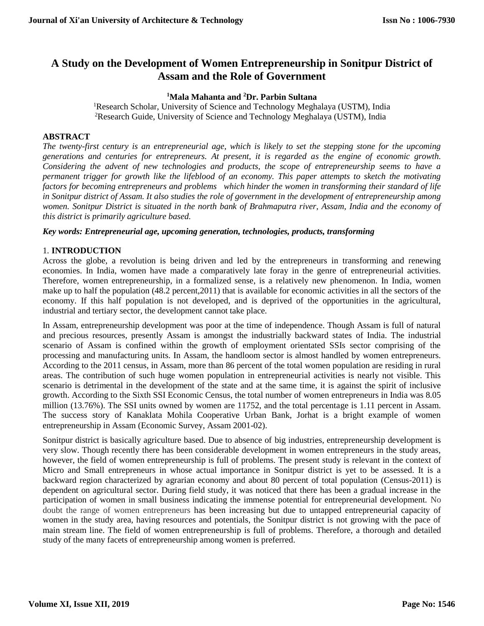# **A Study on the Development of Women Entrepreneurship in Sonitpur District of Assam and the Role of Government**

## **<sup>1</sup>Mala Mahanta and <sup>2</sup>Dr. Parbin Sultana**

<sup>1</sup>Research Scholar, University of Science and Technology Meghalaya (USTM), India <sup>2</sup>Research Guide, University of Science and Technology Meghalaya (USTM), India

## **ABSTRACT**

*The twenty-first century is an entrepreneurial age, which is likely to set the stepping stone for the upcoming generations and centuries for entrepreneurs. At present, it is regarded as the engine of economic growth. Considering the advent of new technologies and products, the scope of entrepreneurship seems to have a permanent trigger for growth like the lifeblood of an economy. This paper attempts to sketch the motivating factors for becoming entrepreneurs and problems which hinder the women in transforming their standard of life in Sonitpur district of Assam. It also studies the role of government in the development of entrepreneurship among*  women. Sonitpur District is situated in the north bank of Brahmaputra river, Assam, India and the economy of *this district is primarily agriculture based.*

## *Key words: Entrepreneurial age, upcoming generation, technologies, products, transforming*

## 1. **INTRODUCTION**

Across the globe, a revolution is being driven and led by the entrepreneurs in transforming and renewing economies. In India, women have made a comparatively late foray in the genre of entrepreneurial activities. Therefore, women entrepreneurship, in a formalized sense, is a relatively new phenomenon. In India, women make up to half the population (48.2 percent,2011) that is available for economic activities in all the sectors of the economy. If this half population is not developed, and is deprived of the opportunities in the agricultural, industrial and tertiary sector, the development cannot take place.

In Assam, entrepreneurship development was poor at the time of independence. Though Assam is full of natural and precious resources, presently Assam is amongst the industrially backward states of India. The industrial scenario of Assam is confined within the growth of employment orientated SSIs sector comprising of the processing and manufacturing units. In Assam, the handloom sector is almost handled by women entrepreneurs. According to the 2011 census, in Assam, more than 86 percent of the total women population are residing in rural areas. The contribution of such huge women population in entrepreneurial activities is nearly not visible. This scenario is detrimental in the development of the state and at the same time, it is against the spirit of inclusive growth. According to the Sixth SSI Economic Census, the total number of women entrepreneurs in India was 8.05 million (13.76%). The SSI units owned by women are 11752, and the total percentage is 1.11 percent in Assam. The success story of Kanaklata Mohila Cooperative Urban Bank, Jorhat is a bright example of women entrepreneurship in Assam (Economic Survey, Assam 2001-02).

Sonitpur district is basically agriculture based. Due to absence of big industries, entrepreneurship development is very slow. Though recently there has been considerable development in women entrepreneurs in the study areas, however, the field of women entrepreneurship is full of problems. The present study is relevant in the context of Micro and Small entrepreneurs in whose actual importance in Sonitpur district is yet to be assessed. It is a backward region characterized by agrarian economy and about 80 percent of total population (Census-2011) is dependent on agricultural sector. During field study, it was noticed that there has been a gradual increase in the participation of women in small business indicating the immense potential for entrepreneurial development. No doubt the range of women entrepreneurs has been increasing but due to untapped entrepreneurial capacity of women in the study area, having resources and potentials, the Sonitpur district is not growing with the pace of main stream line. The field of women entrepreneurship is full of problems. Therefore, a thorough and detailed study of the many facets of entrepreneurship among women is preferred.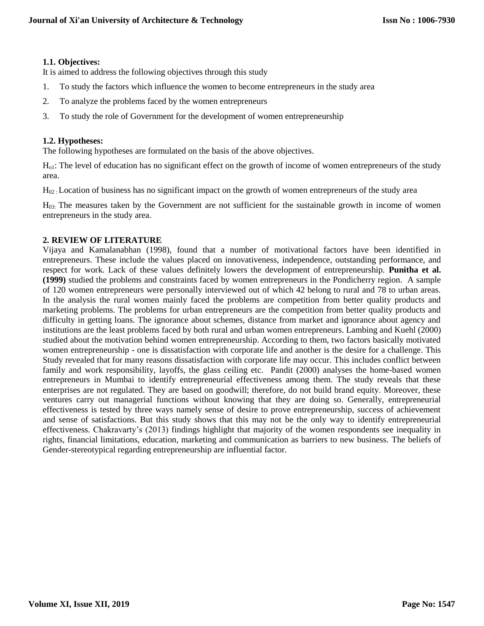## **1.1. Objectives:**

It is aimed to address the following objectives through this study

- 1. To study the factors which influence the women to become entrepreneurs in the study area
- 2. To analyze the problems faced by the women entrepreneurs
- 3. To study the role of Government for the development of women entrepreneurship

### **1.2. Hypotheses:**

The following hypotheses are formulated on the basis of the above objectives.

Ho1: The level of education has no significant effect on the growth of income of women entrepreneurs of the study area.

H02 : Location of business has no significant impact on the growth of women entrepreneurs of the study area

H03: The measures taken by the Government are not sufficient for the sustainable growth in income of women entrepreneurs in the study area.

#### **2. REVIEW OF LITERATURE**

Vijaya and Kamalanabhan (1998), found that a number of motivational factors have been identified in entrepreneurs. These include the values placed on innovativeness, independence, outstanding performance, and respect for work. Lack of these values definitely lowers the development of entrepreneurship. **Punitha et al. (1999)** studied the problems and constraints faced by women entrepreneurs in the Pondicherry region. A sample of 120 women entrepreneurs were personally interviewed out of which 42 belong to rural and 78 to urban areas. In the analysis the rural women mainly faced the problems are competition from better quality products and marketing problems. The problems for urban entrepreneurs are the competition from better quality products and difficulty in getting loans. The ignorance about schemes, distance from market and ignorance about agency and institutions are the least problems faced by both rural and urban women entrepreneurs. Lambing and Kuehl (2000) studied about the motivation behind women entrepreneurship. According to them, two factors basically motivated women entrepreneurship - one is dissatisfaction with corporate life and another is the desire for a challenge. This Study revealed that for many reasons dissatisfaction with corporate life may occur. This includes conflict between family and work responsibility, layoffs, the glass ceiling etc. Pandit (2000) analyses the home-based women entrepreneurs in Mumbai to identify entrepreneurial effectiveness among them. The study reveals that these enterprises are not regulated. They are based on goodwill; therefore, do not build brand equity. Moreover, these ventures carry out managerial functions without knowing that they are doing so. Generally, entrepreneurial effectiveness is tested by three ways namely sense of desire to prove entrepreneurship, success of achievement and sense of satisfactions. But this study shows that this may not be the only way to identify entrepreneurial effectiveness. Chakravarty's (2013) findings highlight that majority of the women respondents see inequality in rights, financial limitations, education, marketing and communication as barriers to new business. The beliefs of Gender-stereotypical regarding entrepreneurship are influential factor.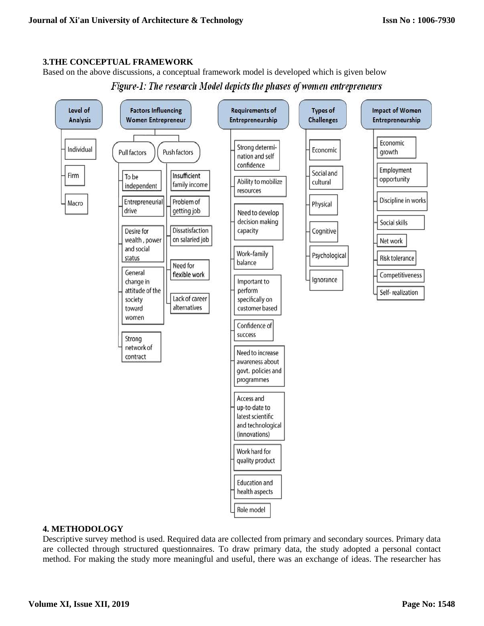## **3.THE CONCEPTUAL FRAMEWORK**

Based on the above discussions, a conceptual framework model is developed which is given below





## **4. METHODOLOGY**

Descriptive survey method is used. Required data are collected from primary and secondary sources. Primary data are collected through structured questionnaires. To draw primary data, the study adopted a personal contact method. For making the study more meaningful and useful, there was an exchange of ideas. The researcher has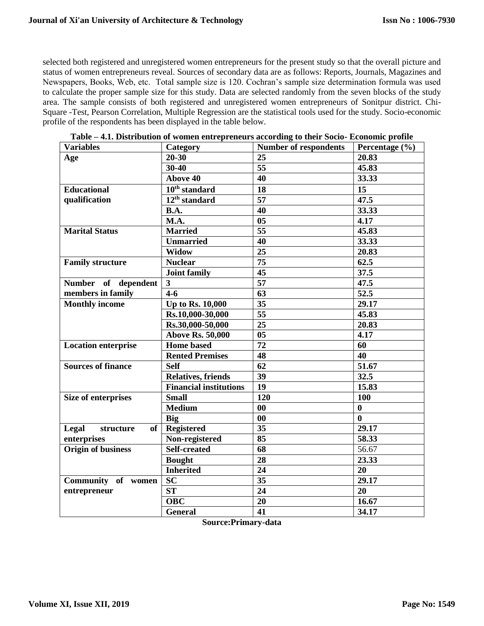selected both registered and unregistered women entrepreneurs for the present study so that the overall picture and status of women entrepreneurs reveal. Sources of secondary data are as follows: Reports, Journals, Magazines and Newspapers, Books, Web, etc. Total sample size is 120. Cochran's sample size determination formula was used to calculate the proper sample size for this study. Data are selected randomly from the seven blocks of the study area. The sample consists of both registered and unregistered women entrepreneurs of Sonitpur district. Chi-Square -Test, Pearson Correlation, Multiple Regression are the statistical tools used for the study. Socio-economic profile of the respondents has been displayed in the table below.

| <b>Variables</b>           | Category                             | <b>Number of respondents</b> | Percentage (%) |
|----------------------------|--------------------------------------|------------------------------|----------------|
| Age                        | $20 - 30$                            | 25                           | 20.83          |
|                            | $30 - 40$                            | $\overline{55}$              | 45.83          |
|                            | <b>Above 40</b>                      | 40                           | 33.33          |
| <b>Educational</b>         | $\overline{10}^{\text{th}}$ standard | 18                           | 15             |
| qualification              | $\overline{1}2^{\text{th}}$ standard | 57                           | 47.5           |
|                            | <b>B.A.</b>                          | 40                           | 33.33          |
|                            | M.A.                                 | 0 <sub>5</sub>               | 4.17           |
| <b>Marital Status</b>      | <b>Married</b>                       | 55                           | 45.83          |
|                            | <b>Unmarried</b>                     | 40                           | 33.33          |
|                            | <b>Widow</b>                         | 25                           | 20.83          |
| <b>Family structure</b>    | <b>Nuclear</b>                       | 75                           | 62.5           |
|                            | <b>Joint family</b>                  | 45                           | 37.5           |
| Number of dependent        | $\mathbf{3}$                         | $\overline{57}$              | 47.5           |
| members in family          | $4-6$                                | 63                           | 52.5           |
| <b>Monthly income</b>      | Up to Rs. 10,000                     | 35                           | 29.17          |
|                            | Rs.10,000-30,000                     | $\overline{55}$              | 45.83          |
|                            | Rs.30,000-50,000                     | 25                           | 20.83          |
|                            | <b>Above Rs. 50,000</b>              | 0 <sub>5</sub>               | 4.17           |
| <b>Location enterprise</b> | <b>Home</b> based                    | 72                           | 60             |
|                            | <b>Rented Premises</b>               | 48                           | 40             |
| <b>Sources of finance</b>  | <b>Self</b>                          | 62                           | 51.67          |
|                            | <b>Relatives, friends</b>            | 39                           | 32.5           |
|                            | <b>Financial institutions</b>        | 19                           | 15.83          |
| <b>Size of enterprises</b> | <b>Small</b>                         | 120                          | 100            |
|                            | <b>Medium</b>                        | 00                           | $\bf{0}$       |
|                            | <b>Big</b>                           | $\bf{00}$                    | $\bf{0}$       |
| of<br>Legal<br>structure   | <b>Registered</b>                    | 35                           | 29.17          |
| enterprises                | Non-registered                       | 85                           | 58.33          |
| <b>Origin of business</b>  | <b>Self-created</b>                  | 68                           | 56.67          |
|                            | <b>Bought</b>                        | 28                           | 23.33          |
|                            | <b>Inherited</b>                     | 24                           | 20             |
| Community of women         | <b>SC</b>                            | 35                           | 29.17          |
| entrepreneur               | <b>ST</b>                            | 24                           | 20             |
|                            | <b>OBC</b>                           | 20                           | 16.67          |
|                            | <b>General</b>                       | 41                           | 34.17          |

**Table – 4.1. Distribution of women entrepreneurs according to their Socio- Economic profile**

**Source:Primary-data**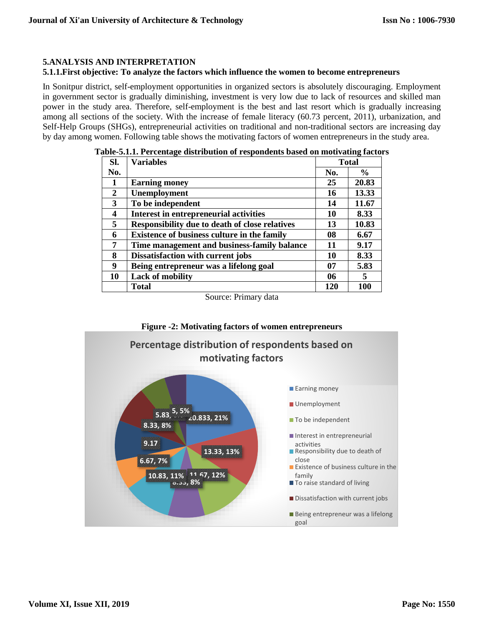## **5.ANALYSIS AND INTERPRETATION**

### **5.1.1.First objective: To analyze the factors which influence the women to become entrepreneurs**

In Sonitpur district, self-employment opportunities in organized sectors is absolutely discouraging. Employment in government sector is gradually diminishing, investment is very low due to lack of resources and skilled man power in the study area. Therefore, self-employment is the best and last resort which is gradually increasing among all sections of the society. With the increase of female literacy (60.73 percent, 2011), urbanization, and Self-Help Groups (SHGs), entrepreneurial activities on traditional and non-traditional sectors are increasing day by day among women. Following table shows the motivating factors of women entrepreneurs in the study area.

| Sl.          | <b>Variables</b>                                      | <b>Total</b> |               |  |  |
|--------------|-------------------------------------------------------|--------------|---------------|--|--|
| No.          |                                                       | No.          | $\frac{6}{9}$ |  |  |
| 1            | <b>Earning money</b>                                  | 25           | 20.83         |  |  |
| $\mathbf{2}$ | Unemployment                                          | 16           | 13.33         |  |  |
| 3            | To be independent                                     | 14           | 11.67         |  |  |
| 4            | <b>Interest in entrepreneurial activities</b>         | 10           | 8.33          |  |  |
| 5            | <b>Responsibility due to death of close relatives</b> | 13           | 10.83         |  |  |
| 6            | <b>Existence of business culture in the family</b>    | 08           | 6.67          |  |  |
| 7            | Time management and business-family balance           | 11           | 9.17          |  |  |
| 8            | Dissatisfaction with current jobs                     | 10           | 8.33          |  |  |
| 9            | Being entrepreneur was a lifelong goal                | 07           | 5.83          |  |  |
| 10           | <b>Lack of mobility</b>                               | 06           | 5             |  |  |
|              | <b>Total</b>                                          | 120          | 100           |  |  |

|  |  | Table-5.1.1. Percentage distribution of respondents based on motivating factors |
|--|--|---------------------------------------------------------------------------------|
|  |  |                                                                                 |

Source: Primary data

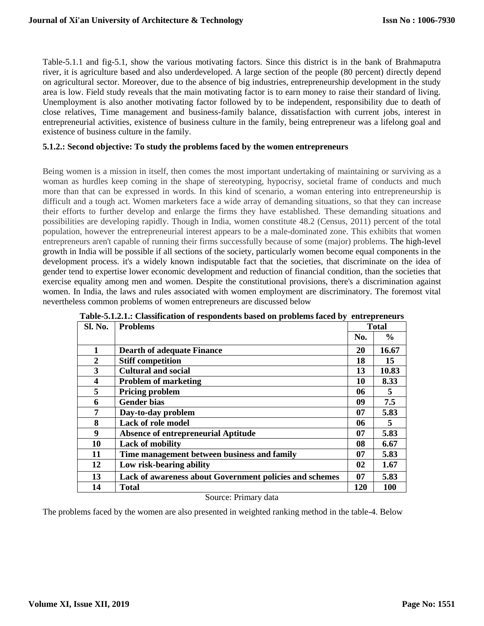Table-5.1.1 and fig-5.1, show the various motivating factors. Since this district is in the bank of Brahmaputra river, it is agriculture based and also underdeveloped. A large section of the people (80 percent) directly depend on agricultural sector. Moreover, due to the absence of big industries, entrepreneurship development in the study area is low. Field study reveals that the main motivating factor is to earn money to raise their standard of living. Unemployment is also another motivating factor followed by to be independent, responsibility due to death of close relatives, Time management and business-family balance, dissatisfaction with current jobs, interest in entrepreneurial activities, existence of business culture in the family, being entrepreneur was a lifelong goal and existence of business culture in the family.

#### **5.1.2.: Second objective: To study the problems faced by the women entrepreneurs**

Being women is a mission in itself, then comes the most important undertaking of maintaining or surviving as a woman as hurdles keep coming in the shape of stereotyping, hypocrisy, societal frame of conducts and much more than that can be expressed in words. In this kind of scenario, a woman entering into entrepreneurship is difficult and a tough act. Women marketers face a wide array of demanding situations, so that they can increase their efforts to further develop and enlarge the firms they have established. These demanding situations and possibilities are developing rapidly. Though in India, women constitute 48.2 (Census, 2011) percent of the total population, however the entrepreneurial interest appears to be a male-dominated zone. This exhibits that women entrepreneurs aren't capable of running their firms successfully because of some (major) problems. The high-level growth in India will be possible if all sections of the society, particularly women become equal components in the development process. it's a widely known indisputable fact that the societies, that discriminate on the idea of gender tend to expertise lower economic development and reduction of financial condition, than the societies that exercise equality among men and women. Despite the constitutional provisions, there's a discrimination against women. In India, the laws and rules associated with women employment are discriminatory. The foremost vital nevertheless common problems of women entrepreneurs are discussed below

| Sl. No.          | <b>Problems</b>                                         | <b>Total</b> |               |  |
|------------------|---------------------------------------------------------|--------------|---------------|--|
|                  |                                                         | No.          | $\frac{6}{9}$ |  |
| 1                | <b>Dearth of adequate Finance</b>                       | 20           | 16.67         |  |
| $\boldsymbol{2}$ | <b>Stiff competition</b>                                | 18           | 15            |  |
| 3                | <b>Cultural and social</b>                              | 13           | 10.83         |  |
| 4                | <b>Problem of marketing</b>                             | 10           | 8.33          |  |
| 5                | <b>Pricing problem</b>                                  | 06           | 5             |  |
| 6                | <b>Gender bias</b>                                      | 09           | 7.5           |  |
| 7                | Day-to-day problem                                      | 07           | 5.83          |  |
| 8                | Lack of role model                                      | 06           | 5             |  |
| 9                | <b>Absence of entrepreneurial Aptitude</b>              | 07           | 5.83          |  |
| 10               | <b>Lack of mobility</b>                                 | 08           | 6.67          |  |
| 11               | Time management between business and family             | 07           | 5.83          |  |
| 12               | Low risk-bearing ability                                | 02           | 1.67          |  |
| 13               | Lack of awareness about Government policies and schemes | 07           | 5.83          |  |
| 14               | Total                                                   | 120          | 100           |  |

| Table-5.1.2.1.: Classification of respondents based on problems faced by entrepreneurs |  |
|----------------------------------------------------------------------------------------|--|
|----------------------------------------------------------------------------------------|--|

#### Source: Primary data

The problems faced by the women are also presented in weighted ranking method in the table-4. Below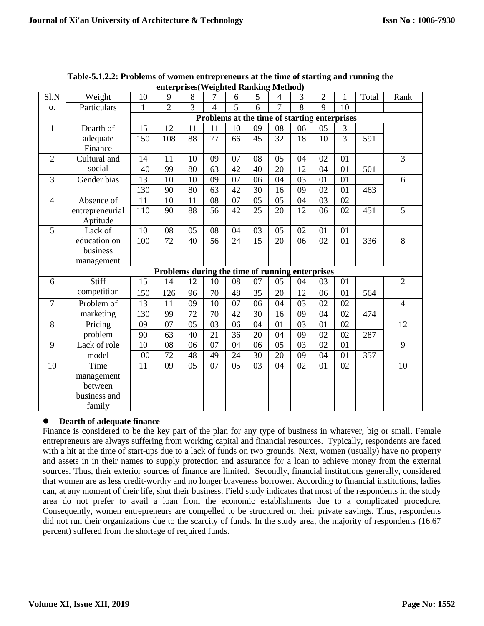| Sl.N           | Weight          | 10                                           | 9                                               | 8  | 7  | 6  | 5  | 4  | 3               | $\overline{2}$ | 1               | Total | Rank           |
|----------------|-----------------|----------------------------------------------|-------------------------------------------------|----|----|----|----|----|-----------------|----------------|-----------------|-------|----------------|
| 0.             | Particulars     | $\mathbf{1}$                                 | $\overline{2}$                                  | 3  | 4  | 5  | 6  | 7  | 8               | 9              | 10              |       |                |
|                |                 | Problems at the time of starting enterprises |                                                 |    |    |    |    |    |                 |                |                 |       |                |
| $\mathbf{1}$   | Dearth of       | 15                                           | 12                                              | 11 | 11 | 10 | 09 | 08 | 06              | 05             | 3               |       | $\mathbf{1}$   |
|                | adequate        | 150                                          | 108                                             | 88 | 77 | 66 | 45 | 32 | 18              | 10             | $\overline{3}$  | 591   |                |
|                | Finance         |                                              |                                                 |    |    |    |    |    |                 |                |                 |       |                |
| $\overline{2}$ | Cultural and    | 14                                           | 11                                              | 10 | 09 | 07 | 08 | 05 | 04              | 02             | 01              |       | 3              |
|                | social          | 140                                          | 99                                              | 80 | 63 | 42 | 40 | 20 | 12              | 04             | 01              | 501   |                |
| 3              | Gender bias     | 13                                           | 10                                              | 10 | 09 | 07 | 06 | 04 | 03              | 01             | 01              |       | 6              |
|                |                 | 130                                          | 90                                              | 80 | 63 | 42 | 30 | 16 | 09              | 02             | 01              | 463   |                |
| $\overline{4}$ | Absence of      | 11                                           | 10                                              | 11 | 08 | 07 | 05 | 05 | 04              | 03             | 02              |       |                |
|                | entrepreneurial | 110                                          | 90                                              | 88 | 56 | 42 | 25 | 20 | 12              | 06             | 02              | 451   | 5              |
|                | Aptitude        |                                              |                                                 |    |    |    |    |    |                 |                |                 |       |                |
| 5              | Lack of         | 10                                           | 08                                              | 05 | 08 | 04 | 03 | 05 | 02              | 01             | 01              |       |                |
|                | education on    | 100                                          | 72                                              | 40 | 56 | 24 | 15 | 20 | 06              | 02             | 01              | 336   | 8              |
|                | business        |                                              |                                                 |    |    |    |    |    |                 |                |                 |       |                |
|                | management      |                                              |                                                 |    |    |    |    |    |                 |                |                 |       |                |
|                |                 |                                              | Problems during the time of running enterprises |    |    |    |    |    |                 |                |                 |       |                |
| 6              | Stiff           | 15                                           | 14                                              | 12 | 10 | 08 | 07 | 05 | 04              | 03             | 01              |       | $\overline{2}$ |
|                | competition     | 150                                          | 126                                             | 96 | 70 | 48 | 35 | 20 | 12              | 06             | 01              | 564   |                |
| $\overline{7}$ | Problem of      | 13                                           | 11                                              | 09 | 10 | 07 | 06 | 04 | $\overline{03}$ | 02             | $\overline{02}$ |       | $\overline{4}$ |
|                | marketing       | 130                                          | 99                                              | 72 | 70 | 42 | 30 | 16 | 09              | 04             | 02              | 474   |                |
| 8              | Pricing         | 09                                           | 07                                              | 05 | 03 | 06 | 04 | 01 | 03              | 01             | 02              |       | 12             |
|                | problem         | 90                                           | 63                                              | 40 | 21 | 36 | 20 | 04 | 09              | 02             | 02              | 287   |                |
| 9              | Lack of role    | 10                                           | 08                                              | 06 | 07 | 04 | 06 | 05 | 03              | 02             | 01              |       | 9              |
|                | model           | 100                                          | 72                                              | 48 | 49 | 24 | 30 | 20 | 09              | 04             | 01              | 357   |                |
| 10             | Time            | 11                                           | 09                                              | 05 | 07 | 05 | 03 | 04 | 02              | 01             | 02              |       | 10             |
|                | management      |                                              |                                                 |    |    |    |    |    |                 |                |                 |       |                |
|                | between         |                                              |                                                 |    |    |    |    |    |                 |                |                 |       |                |
|                | business and    |                                              |                                                 |    |    |    |    |    |                 |                |                 |       |                |
|                | family          |                                              |                                                 |    |    |    |    |    |                 |                |                 |       |                |

**Table-5.1.2.2: Problems of women entrepreneurs at the time of starting and running the enterprises(Weighted Ranking Method)**

## **Dearth of adequate finance**

Finance is considered to be the key part of the plan for any type of business in whatever, big or small. Female entrepreneurs are always suffering from working capital and financial resources. Typically, respondents are faced with a hit at the time of start-ups due to a lack of funds on two grounds. Next, women (usually) have no property and assets in in their names to supply protection and assurance for a loan to achieve money from the external sources. Thus, their exterior sources of finance are limited. Secondly, financial institutions generally, considered that women are as less credit-worthy and no longer braveness borrower. According to financial institutions, ladies can, at any moment of their life, shut their business. Field study indicates that most of the respondents in the study area do not prefer to avail a loan from the economic establishments due to a complicated procedure. Consequently, women entrepreneurs are compelled to be structured on their private savings. Thus, respondents did not run their organizations due to the scarcity of funds. In the study area, the majority of respondents (16.67 percent) suffered from the shortage of required funds.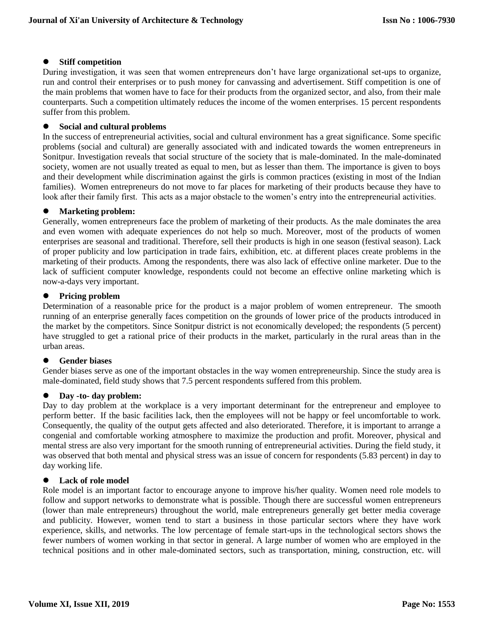## **Stiff competition**

During investigation, it was seen that women entrepreneurs don't have large organizational set-ups to organize, run and control their enterprises or to push money for canvassing and advertisement. Stiff competition is one of the main problems that women have to face for their products from the organized sector, and also, from their male counterparts. Such a competition ultimately reduces the income of the women enterprises. 15 percent respondents suffer from this problem.

## **Social and cultural problems**

In the success of entrepreneurial activities, social and cultural environment has a great significance. Some specific problems (social and cultural) are generally associated with and indicated towards the women entrepreneurs in Sonitpur. Investigation reveals that social structure of the society that is male-dominated. In the male-dominated society, women are not usually treated as equal to men, but as lesser than them. The importance is given to boys and their development while discrimination against the girls is common practices (existing in most of the Indian families). Women entrepreneurs do not move to far places for marketing of their products because they have to look after their family first. This acts as a major obstacle to the women's entry into the entrepreneurial activities.

## **Marketing problem:**

Generally, women entrepreneurs face the problem of marketing of their products. As the male dominates the area and even women with adequate experiences do not help so much. Moreover, most of the products of women enterprises are seasonal and traditional. Therefore, sell their products is high in one season (festival season). Lack of proper publicity and low participation in trade fairs, exhibition, etc. at different places create problems in the marketing of their products. Among the respondents, there was also lack of effective online marketer. Due to the lack of sufficient computer knowledge, respondents could not become an effective online marketing which is now-a-days very important.

## **Pricing problem**

Determination of a reasonable price for the product is a major problem of women entrepreneur. The smooth running of an enterprise generally faces competition on the grounds of lower price of the products introduced in the market by the competitors. Since Sonitpur district is not economically developed; the respondents (5 percent) have struggled to get a rational price of their products in the market, particularly in the rural areas than in the urban areas.

## **Gender biases**

Gender biases serve as one of the important obstacles in the way women entrepreneurship. Since the study area is male-dominated, field study shows that 7.5 percent respondents suffered from this problem.

## **Day -to- day problem:**

Day to day problem at the workplace is a very important determinant for the entrepreneur and employee to perform better. If the basic facilities lack, then the employees will not be happy or feel uncomfortable to work. Consequently, the quality of the output gets affected and also deteriorated. Therefore, it is important to arrange a congenial and comfortable working atmosphere to maximize the production and profit. Moreover, physical and mental stress are also very important for the smooth running of entrepreneurial activities. During the field study, it was observed that both mental and physical stress was an issue of concern for respondents (5.83 percent) in day to day working life.

## **Lack of role model**

Role model is an important factor to encourage anyone to improve his/her quality. Women need role models to follow and support networks to demonstrate what is possible. Though there are successful women entrepreneurs (lower than male entrepreneurs) throughout the world, male entrepreneurs generally get better media coverage and publicity. However, women tend to start a business in those particular sectors where they have work experience, skills, and networks. The low percentage of female start-ups in the technological sectors shows the fewer numbers of women working in that sector in general. A large number of women who are employed in the technical positions and in other male-dominated sectors, such as transportation, mining, construction, etc. will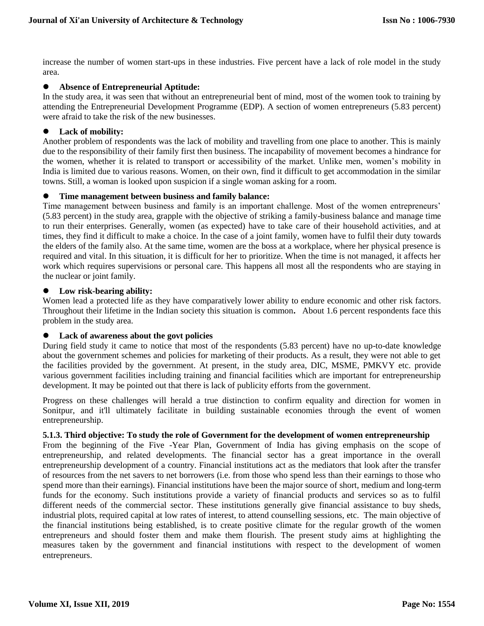increase the number of women start-ups in these industries. Five percent have a lack of role model in the study area.

## **Absence of Entrepreneurial Aptitude:**

In the study area, it was seen that without an entrepreneurial bent of mind, most of the women took to training by attending the Entrepreneurial Development Programme (EDP). A section of women entrepreneurs (5.83 percent) were afraid to take the risk of the new businesses.

## **Lack of mobility:**

Another problem of respondents was the lack of mobility and travelling from one place to another. This is mainly due to the responsibility of their family first then business. The incapability of movement becomes a hindrance for the women, whether it is related to transport or accessibility of the market. Unlike men, women's mobility in India is limited due to various reasons. Women, on their own, find it difficult to get accommodation in the similar towns. Still, a woman is looked upon suspicion if a single woman asking for a room.

#### **Time management between business and family balance:**

Time management between business and family is an important challenge. Most of the women entrepreneurs' (5.83 percent) in the study area, grapple with the objective of striking a family-business balance and manage time to run their enterprises. Generally, women (as expected) have to take care of their household activities, and at times, they find it difficult to make a choice. In the case of a joint family, women have to fulfil their duty towards the elders of the family also. At the same time, women are the boss at a workplace, where her physical presence is required and vital. In this situation, it is difficult for her to prioritize. When the time is not managed, it affects her work which requires supervisions or personal care. This happens all most all the respondents who are staying in the nuclear or joint family.

#### **Low risk-bearing ability:**

Women lead a protected life as they have comparatively lower ability to endure economic and other risk factors. Throughout their lifetime in the Indian society this situation is common**.** About 1.6 percent respondents face this problem in the study area.

#### **Lack of awareness about the govt policies**

During field study it came to notice that most of the respondents (5.83 percent) have no up-to-date knowledge about the government schemes and policies for marketing of their products. As a result, they were not able to get the facilities provided by the government. At present, in the study area, DIC, MSME, PMKVY etc. provide various government facilities including training and financial facilities which are important for entrepreneurship development. It may be pointed out that there is lack of publicity efforts from the government.

Progress on these challenges will herald a true distinction to confirm equality and direction for women in Sonitpur, and it'll ultimately facilitate in building sustainable economies through the event of women entrepreneurship.

#### **5.1.3. Third objective: To study the role of Government for the development of women entrepreneurship**

From the beginning of the Five -Year Plan, Government of India has giving emphasis on the scope of entrepreneurship, and related developments. The financial sector has a great importance in the overall entrepreneurship development of a country. Financial institutions act as the mediators that look after the transfer of resources from the net savers to net borrowers (i.e. from those who spend less than their earnings to those who spend more than their earnings). Financial institutions have been the major source of short, medium and long-term funds for the economy. Such institutions provide a variety of financial products and services so as to fulfil different needs of the commercial sector. These institutions generally give financial assistance to buy sheds, industrial plots, required capital at low rates of interest, to attend counselling sessions, etc. The main objective of the financial institutions being established, is to create positive climate for the regular growth of the women entrepreneurs and should foster them and make them flourish. The present study aims at highlighting the measures taken by the government and financial institutions with respect to the development of women entrepreneurs.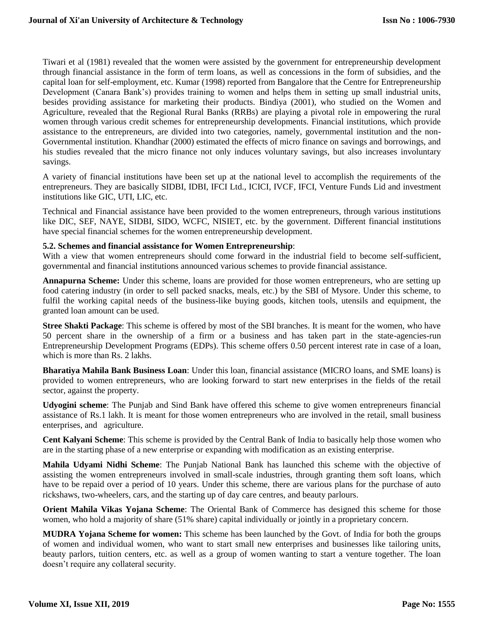Tiwari et al (1981) revealed that the women were assisted by the government for entrepreneurship development through financial assistance in the form of term loans, as well as concessions in the form of subsidies, and the capital loan for self-employment, etc. Kumar (1998) reported from Bangalore that the Centre for Entrepreneurship Development (Canara Bank's) provides training to women and helps them in setting up small industrial units, besides providing assistance for marketing their products. Bindiya (2001), who studied on the Women and Agriculture, revealed that the Regional Rural Banks (RRBs) are playing a pivotal role in empowering the rural women through various credit schemes for entrepreneurship developments. Financial institutions, which provide assistance to the entrepreneurs, are divided into two categories, namely, governmental institution and the non-Governmental institution. Khandhar (2000) estimated the effects of micro finance on savings and borrowings, and his studies revealed that the micro finance not only induces voluntary savings, but also increases involuntary savings.

A variety of financial institutions have been set up at the national level to accomplish the requirements of the entrepreneurs. They are basically SIDBI, IDBI, IFCI Ltd., ICICI, IVCF, IFCI, Venture Funds Lid and investment institutions like GIC, UTI, LIC, etc.

Technical and Financial assistance have been provided to the women entrepreneurs, through various institutions like DIC, SEF, NAYE, SIDBI, SIDO, WCFC, NISIET, etc. by the government. Different financial institutions have special financial schemes for the women entrepreneurship development.

#### **5.2. Schemes and financial assistance for Women Entrepreneurship**:

With a view that women entrepreneurs should come forward in the industrial field to become self-sufficient, governmental and financial institutions announced various schemes to provide financial assistance.

**Annapurna Scheme:** Under this scheme, loans are provided for those women entrepreneurs, who are setting up food catering industry (in order to sell packed snacks, meals, etc.) by the SBI of Mysore. Under this scheme, to fulfil the working capital needs of the business-like buying goods, kitchen tools, utensils and equipment, the granted loan amount can be used.

**Stree Shakti Package**: This scheme is offered by most of the SBI branches. It is meant for the women, who have 50 percent share in the ownership of a firm or a business and has taken part in the state-agencies-run Entrepreneurship Development Programs (EDPs). This scheme offers 0.50 percent interest rate in case of a loan, which is more than Rs. 2 lakhs.

**Bharatiya Mahila Bank Business Loan**: Under this loan, financial assistance (MICRO loans, and SME loans) is provided to women entrepreneurs, who are looking forward to start new enterprises in the fields of the retail sector, against the property.

**Udyogini scheme**: The Punjab and Sind Bank have offered this scheme to give women entrepreneurs financial assistance of Rs.1 lakh. It is meant for those women entrepreneurs who are involved in the retail, small business enterprises, and agriculture.

**Cent Kalyani Scheme**: This scheme is provided by the Central Bank of India to basically help those women who are in the starting phase of a new enterprise or expanding with modification as an existing enterprise.

**Mahila Udyami Nidhi Scheme**: The Punjab National Bank has launched this scheme with the objective of assisting the women entrepreneurs involved in small-scale industries, through granting them soft loans, which have to be repaid over a period of 10 years. Under this scheme, there are various plans for the purchase of auto rickshaws, two-wheelers, cars, and the starting up of day care centres, and beauty parlours.

**Orient Mahila Vikas Yojana Scheme**: The Oriental Bank of Commerce has designed this scheme for those women, who hold a majority of share (51% share) capital individually or jointly in a proprietary concern.

**MUDRA Yojana Scheme for women:** This scheme has been launched by the Govt. of India for both the groups of women and individual women, who want to start small new enterprises and businesses like tailoring units, beauty parlors, tuition centers, etc. as well as a group of women wanting to start a venture together. The loan doesn't require any collateral security.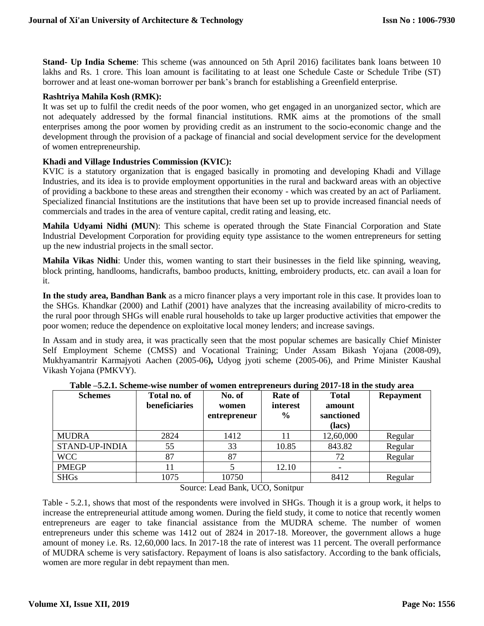**Stand- Up India Scheme**: This scheme (was announced on 5th April 2016) facilitates bank loans between 10 lakhs and Rs. 1 crore. This loan amount is facilitating to at least one Schedule Caste or Schedule Tribe (ST) borrower and at least one-woman borrower per bank's branch for establishing a Greenfield enterprise.

### **Rashtriya Mahila Kosh (RMK):**

It was set up to fulfil the credit needs of the poor women, who get engaged in an unorganized sector, which are not adequately addressed by the formal financial institutions. RMK aims at the promotions of the small enterprises among the poor women by providing credit as an instrument to the socio-economic change and the development through the provision of a package of financial and social development service for the development of women entrepreneurship.

## **Khadi and Village Industries Commission (KVIC):**

KVIC is a statutory organization that is engaged basically in promoting and developing Khadi and Village Industries, and its idea is to provide employment opportunities in the rural and backward areas with an objective of providing a backbone to these areas and strengthen their economy - which was created by an act of Parliament. Specialized financial Institutions are the institutions that have been set up to provide increased financial needs of commercials and trades in the area of venture capital, credit rating and leasing, etc.

**Mahila Udyami Nidhi (MUN**): This scheme is operated through the State Financial Corporation and State Industrial Development Corporation for providing equity type assistance to the women entrepreneurs for setting up the new industrial projects in the small sector.

**Mahila Vikas Nidhi**: Under this, women wanting to start their businesses in the field like spinning, weaving, block printing, handlooms, handicrafts, bamboo products, knitting, embroidery products, etc. can avail a loan for it.

**In the study area, Bandhan Bank** as a micro financer plays a very important role in this case. It provides loan to the SHGs. Khandkar (2000) and Lathif (2001) have analyzes that the increasing availability of micro-credits to the rural poor through SHGs will enable rural households to take up larger productive activities that empower the poor women; reduce the dependence on exploitative local money lenders; and increase savings.

In Assam and in study area, it was practically seen that the most popular schemes are basically Chief Minister Self Employment Scheme (CMSS) and Vocational Training; Under Assam Bikash Yojana (2008-09), Mukhyamantrir Karmajyoti Aachen (2005-06**),** Udyog jyoti scheme (2005-06), and Prime Minister Kaushal Vikash Yojana (PMKVY).

| <b>Schemes</b>        | Total no. of<br>beneficiaries | No. of<br>women<br>entrepreneur | <b>Rate of</b><br>interest<br>$\frac{6}{9}$ | <b>Total</b><br>amount<br>sanctioned<br>(lacs) | <b>Repayment</b> |
|-----------------------|-------------------------------|---------------------------------|---------------------------------------------|------------------------------------------------|------------------|
| <b>MUDRA</b>          | 2824                          | 1412                            | 11                                          | 12,60,000                                      | Regular          |
| <b>STAND-UP-INDIA</b> | 55                            | 33                              | 10.85                                       | 843.82                                         | Regular          |
| <b>WCC</b>            | 87                            | 87                              |                                             | 72                                             | Regular          |
| <b>PMEGP</b>          |                               |                                 | 12.10                                       |                                                |                  |
| <b>SHGs</b>           | 1075                          | 10750                           |                                             | 8412                                           | Regular          |

#### **Table –5.2.1. Scheme-wise number of women entrepreneurs during 2017-18 in the study area**

#### Source: Lead Bank, UCO, Sonitpur

Table - 5.2.1, shows that most of the respondents were involved in SHGs. Though it is a group work, it helps to increase the entrepreneurial attitude among women. During the field study, it come to notice that recently women entrepreneurs are eager to take financial assistance from the MUDRA scheme. The number of women entrepreneurs under this scheme was 1412 out of 2824 in 2017-18. Moreover, the government allows a huge amount of money i.e. Rs. 12,60,000 lacs. In 2017-18 the rate of interest was 11 percent. The overall performance of MUDRA scheme is very satisfactory. Repayment of loans is also satisfactory. According to the bank officials, women are more regular in debt repayment than men.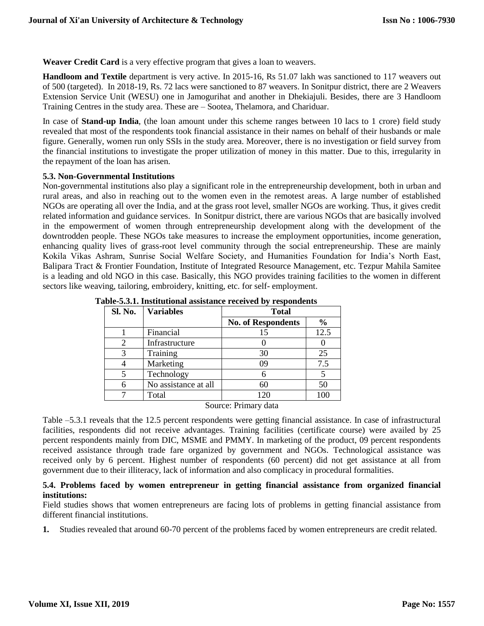**Weaver Credit Card** is a very effective program that gives a loan to weavers.

**Handloom and Textile** department is very active. In 2015-16, Rs 51.07 lakh was sanctioned to 117 weavers out of 500 (targeted). In 2018-19, Rs. 72 lacs were sanctioned to 87 weavers. In Sonitpur district, there are 2 Weavers Extension Service Unit (WESU) one in Jamogurihat and another in Dhekiajuli. Besides, there are 3 Handloom Training Centres in the study area. These are – Sootea, Thelamora, and Chariduar.

In case of **Stand-up India**, (the loan amount under this scheme ranges between 10 lacs to 1 crore) field study revealed that most of the respondents took financial assistance in their names on behalf of their husbands or male figure. Generally, women run only SSIs in the study area. Moreover, there is no investigation or field survey from the financial institutions to investigate the proper utilization of money in this matter. Due to this, irregularity in the repayment of the loan has arisen.

#### **5.3. Non-Governmental Institutions**

Non-governmental institutions also play a significant role in the entrepreneurship development, both in urban and rural areas, and also in reaching out to the women even in the remotest areas. A large number of established NGOs are operating all over the India, and at the grass root level, smaller NGOs are working. Thus, it gives credit related information and guidance services. In Sonitpur district, there are various NGOs that are basically involved in the empowerment of women through entrepreneurship development along with the development of the downtrodden people. These NGOs take measures to increase the employment opportunities, income generation, enhancing quality lives of grass-root level community through the social entrepreneurship. These are mainly Kokila Vikas Ashram, Sunrise Social Welfare Society, and Humanities Foundation for India's North East, Balipara Tract & Frontier Foundation, Institute of Integrated Resource Management, etc. Tezpur Mahila Samitee is a leading and old NGO in this case. Basically, this NGO provides training facilities to the women in different sectors like weaving, tailoring, embroidery, knitting, etc. for self- employment.

| Sl. No. | <b>Variables</b>     | <b>Total</b>                  |               |
|---------|----------------------|-------------------------------|---------------|
|         |                      | <b>No. of Respondents</b>     | $\frac{0}{0}$ |
|         | Financial            | 15                            | 12.5          |
|         | Infrastructure       |                               |               |
| 3       | Training             | 30                            | 25            |
|         | Marketing            | 09                            | 7.5           |
|         | Technology           |                               |               |
|         | No assistance at all | 60                            | 50            |
|         | Total                | 120                           | 100           |
|         | $\sim$               | $\mathbf{r}$ .<br>$\mathbf 1$ |               |

**Table-5.3.1. Institutional assistance received by respondents**

Source: Primary data

Table –5.3.1 reveals that the 12.5 percent respondents were getting financial assistance. In case of infrastructural facilities, respondents did not receive advantages. Training facilities (certificate course) were availed by 25 percent respondents mainly from DIC, MSME and PMMY. In marketing of the product, 09 percent respondents received assistance through trade fare organized by government and NGOs. Technological assistance was received only by 6 percent. Highest number of respondents (60 percent) did not get assistance at all from government due to their illiteracy, lack of information and also complicacy in procedural formalities.

## **5.4. Problems faced by women entrepreneur in getting financial assistance from organized financial institutions:**

Field studies shows that women entrepreneurs are facing lots of problems in getting financial assistance from different financial institutions.

**1.** Studies revealed that around 60-70 percent of the problems faced by women entrepreneurs are credit related.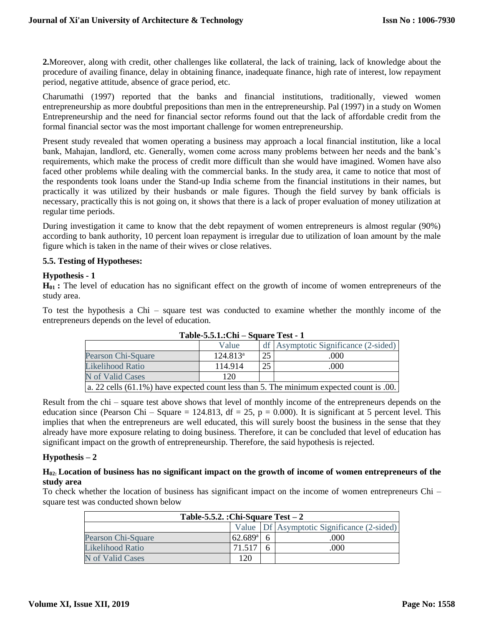**2.**Moreover, along with credit, other challenges like **c**ollateral, the lack of training, lack of knowledge about the procedure of availing finance, delay in obtaining finance, inadequate finance, high rate of interest, low repayment period, negative attitude, absence of grace period, etc.

Charumathi (1997) reported that the banks and financial institutions, traditionally, viewed women entrepreneurship as more doubtful prepositions than men in the entrepreneurship. Pal (1997) in a study on Women Entrepreneurship and the need for financial sector reforms found out that the lack of affordable credit from the formal financial sector was the most important challenge for women entrepreneurship.

Present study revealed that women operating a business may approach a local financial institution, like a local bank, Mahajan, landlord, etc. Generally, women come across many problems between her needs and the bank's requirements, which make the process of credit more difficult than she would have imagined. Women have also faced other problems while dealing with the commercial banks. In the study area, it came to notice that most of the respondents took loans under the Stand-up India scheme from the financial institutions in their names, but practically it was utilized by their husbands or male figures. Though the field survey by bank officials is necessary, practically this is not going on, it shows that there is a lack of proper evaluation of money utilization at regular time periods.

During investigation it came to know that the debt repayment of women entrepreneurs is almost regular (90%) according to bank authority, 10 percent loan repayment is irregular due to utilization of loan amount by the male figure which is taken in the name of their wives or close relatives.

## **5.5. Testing of Hypotheses:**

#### **Hypothesis - 1**

**H01 :** The level of education has no significant effect on the growth of income of women entrepreneurs of the study area.

To test the hypothesis a Chi – square test was conducted to examine whether the monthly income of the entrepreneurs depends on the level of education.

| 1000 - 1000 1000 111<br>Duuare rest t                                                            |             |    |                                        |  |  |  |  |
|--------------------------------------------------------------------------------------------------|-------------|----|----------------------------------------|--|--|--|--|
|                                                                                                  | Value       |    | df   Asymptotic Significance (2-sided) |  |  |  |  |
| Pearson Chi-Square                                                                               | $124.813^a$ | 25 | (000)                                  |  |  |  |  |
| Likelihood Ratio                                                                                 | 114.914     | 25 | .000                                   |  |  |  |  |
| N of Valid Cases                                                                                 | 120         |    |                                        |  |  |  |  |
| $\alpha$ a. 22 cells (61.1%) have expected count less than 5. The minimum expected count is 0.0. |             |    |                                        |  |  |  |  |

Result from the chi – square test above shows that level of monthly income of the entrepreneurs depends on the education since (Pearson Chi – Square = 124.813, df = 25, p = 0.000). It is significant at 5 percent level. This implies that when the entrepreneurs are well educated, this will surely boost the business in the sense that they already have more exposure relating to doing business. Therefore, it can be concluded that level of education has significant impact on the growth of entrepreneurship. Therefore, the said hypothesis is rejected.

## **Hypothesis – 2**

## **H02: Location of business has no significant impact on the growth of income of women entrepreneurs of the study area**

To check whether the location of business has significant impact on the income of women entrepreneurs Chi – square test was conducted shown below

| Table-5.5.2. :Chi-Square Test $-2$         |                  |  |      |  |  |  |  |
|--------------------------------------------|------------------|--|------|--|--|--|--|
| Value Df Asymptotic Significance (2-sided) |                  |  |      |  |  |  |  |
| Pearson Chi-Square                         | $62.689^{\rm a}$ |  | 000  |  |  |  |  |
| <b>Likelihood Ratio</b>                    | 71.517           |  | .000 |  |  |  |  |
| N of Valid Cases                           | 120              |  |      |  |  |  |  |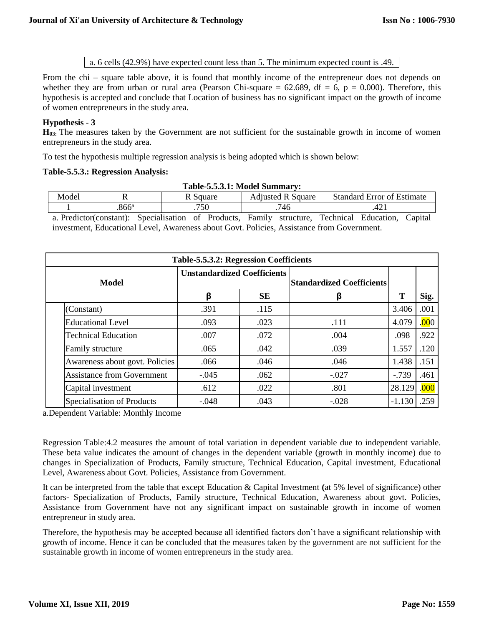a. 6 cells (42.9%) have expected count less than 5. The minimum expected count is .49.

From the chi – square table above, it is found that monthly income of the entrepreneur does not depends on whether they are from urban or rural area (Pearson Chi-square = 62.689, df = 6, p = 0.000). Therefore, this hypothesis is accepted and conclude that Location of business has no significant impact on the growth of income of women entrepreneurs in the study area.

## **Hypothesis - 3**

**H03:** The measures taken by the Government are not sufficient for the sustainable growth in income of women entrepreneurs in the study area.

To test the hypothesis multiple regression analysis is being adopted which is shown below:

## **Table-5.5.3.: Regression Analysis:**

| Table-5.5.3.1: Model Summary:                                                      |               |     |     |     |  |  |  |
|------------------------------------------------------------------------------------|---------------|-----|-----|-----|--|--|--|
| Model<br><b>Standard Error of Estimate</b><br><b>Adiusted R Square</b><br>R Square |               |     |     |     |  |  |  |
|                                                                                    | $866^{\circ}$ | 750 | 746 | 421 |  |  |  |

a. Predictor(constant): Specialisation of Products, Family structure, Technical Education, Capital investment, Educational Level, Awareness about Govt. Policies, Assistance from Government.

| Table-5.5.3.2: Regression Coefficients |                                    |           |                                  |          |       |
|----------------------------------------|------------------------------------|-----------|----------------------------------|----------|-------|
| Model                                  | <b>Unstandardized Coefficients</b> |           | <b>Standardized Coefficients</b> |          |       |
|                                        | β                                  | <b>SE</b> | β                                | Т        | Sig.  |
| (Constant)                             | .391                               | .115      |                                  | 3.406    | .001  |
| <b>Educational Level</b>               | .093                               | .023      | .111                             | 4.079    | .000. |
| <b>Technical Education</b>             | .007                               | .072      | .004                             | .098     | .922  |
| Family structure                       | .065                               | .042      | .039                             | 1.557    | .120  |
| Awareness about govt. Policies         | .066                               | .046      | .046                             | 1.438    | .151  |
| <b>Assistance from Government</b>      | $-.045$                            | .062      | $-.027$                          | $-0.739$ | .461  |
| Capital investment                     | .612                               | .022      | .801                             | 28.129   | .000  |
| Specialisation of Products             | $-.048$                            | .043      | $-.028$                          | $-1.130$ | .259  |

a.Dependent Variable: Monthly Income

Regression Table:4.2 measures the amount of total variation in dependent variable due to independent variable. These beta value indicates the amount of changes in the dependent variable (growth in monthly income) due to changes in Specialization of Products, Family structure, Technical Education, Capital investment, Educational Level, Awareness about Govt. Policies, Assistance from Government.

It can be interpreted from the table that except Education & Capital Investment **(**at 5% level of significance) other factors- Specialization of Products, Family structure, Technical Education, Awareness about govt. Policies, Assistance from Government have not any significant impact on sustainable growth in income of women entrepreneur in study area.

Therefore, the hypothesis may be accepted because all identified factors don't have a significant relationship with growth of income. Hence it can be concluded that the measures taken by the government are not sufficient for the sustainable growth in income of women entrepreneurs in the study area.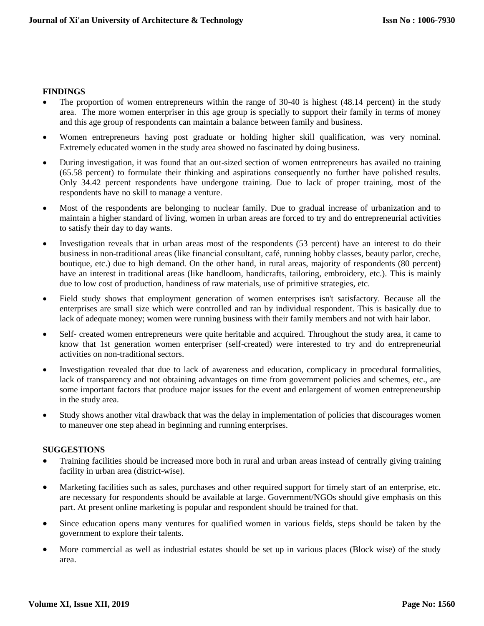## **FINDINGS**

- The proportion of women entrepreneurs within the range of 30-40 is highest (48.14 percent) in the study area. The more women enterpriser in this age group is specially to support their family in terms of money and this age group of respondents can maintain a balance between family and business.
- Women entrepreneurs having post graduate or holding higher skill qualification, was very nominal. Extremely educated women in the study area showed no fascinated by doing business.
- During investigation, it was found that an out-sized section of women entrepreneurs has availed no training (65.58 percent) to formulate their thinking and aspirations consequently no further have polished results. Only 34.42 percent respondents have undergone training. Due to lack of proper training, most of the respondents have no skill to manage a venture.
- Most of the respondents are belonging to nuclear family. Due to gradual increase of urbanization and to maintain a higher standard of living, women in urban areas are forced to try and do entrepreneurial activities to satisfy their day to day wants.
- Investigation reveals that in urban areas most of the respondents (53 percent) have an interest to do their business in non-traditional areas (like financial consultant, café, running hobby classes, beauty parlor, creche, boutique, etc.) due to high demand. On the other hand, in rural areas, majority of respondents (80 percent) have an interest in traditional areas (like handloom, handicrafts, tailoring, embroidery, etc.). This is mainly due to low cost of production, handiness of raw materials, use of primitive strategies, etc.
- Field study shows that employment generation of women enterprises isn't satisfactory. Because all the enterprises are small size which were controlled and ran by individual respondent. This is basically due to lack of adequate money; women were running business with their family members and not with hair labor.
- Self- created women entrepreneurs were quite heritable and acquired. Throughout the study area, it came to know that 1st generation women enterpriser (self-created) were interested to try and do entrepreneurial activities on non-traditional sectors.
- Investigation revealed that due to lack of awareness and education, complicacy in procedural formalities, lack of transparency and not obtaining advantages on time from government policies and schemes, etc., are some important factors that produce major issues for the event and enlargement of women entrepreneurship in the study area.
- Study shows another vital drawback that was the delay in implementation of policies that discourages women to maneuver one step ahead in beginning and running enterprises.

## **SUGGESTIONS**

- Training facilities should be increased more both in rural and urban areas instead of centrally giving training facility in urban area (district-wise).
- Marketing facilities such as sales, purchases and other required support for timely start of an enterprise, etc. are necessary for respondents should be available at large. Government/NGOs should give emphasis on this part. At present online marketing is popular and respondent should be trained for that.
- Since education opens many ventures for qualified women in various fields, steps should be taken by the government to explore their talents.
- More commercial as well as industrial estates should be set up in various places (Block wise) of the study area.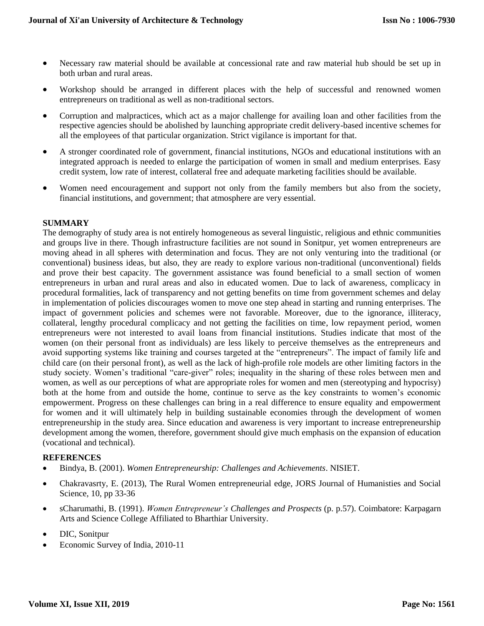- Necessary raw material should be available at concessional rate and raw material hub should be set up in both urban and rural areas.
- Workshop should be arranged in different places with the help of successful and renowned women entrepreneurs on traditional as well as non-traditional sectors.
- Corruption and malpractices, which act as a major challenge for availing loan and other facilities from the respective agencies should be abolished by launching appropriate credit delivery-based incentive schemes for all the employees of that particular organization. Strict vigilance is important for that.
- A stronger coordinated role of government, financial institutions, NGOs and educational institutions with an integrated approach is needed to enlarge the participation of women in small and medium enterprises. Easy credit system, low rate of interest, collateral free and adequate marketing facilities should be available.
- Women need encouragement and support not only from the family members but also from the society, financial institutions, and government; that atmosphere are very essential.

#### **SUMMARY**

The demography of study area is not entirely homogeneous as several linguistic, religious and ethnic communities and groups live in there. Though infrastructure facilities are not sound in Sonitpur, yet women entrepreneurs are moving ahead in all spheres with determination and focus. They are not only venturing into the traditional (or conventional) business ideas, but also, they are ready to explore various non-traditional (unconventional) fields and prove their best capacity. The government assistance was found beneficial to a small section of women entrepreneurs in urban and rural areas and also in educated women. Due to lack of awareness, complicacy in procedural formalities, lack of transparency and not getting benefits on time from government schemes and delay in implementation of policies discourages women to move one step ahead in starting and running enterprises. The impact of government policies and schemes were not favorable. Moreover, due to the ignorance, illiteracy, collateral, lengthy procedural complicacy and not getting the facilities on time, low repayment period, women entrepreneurs were not interested to avail loans from financial institutions. Studies indicate that most of the women (on their personal front as individuals) are less likely to perceive themselves as the entrepreneurs and avoid supporting systems like training and courses targeted at the "entrepreneurs". The impact of family life and child care (on their personal front), as well as the lack of high-profile role models are other limiting factors in the study society. Women's traditional "care-giver" roles; inequality in the sharing of these roles between men and women, as well as our perceptions of what are appropriate roles for women and men (stereotyping and hypocrisy) both at the home from and outside the home, continue to serve as the key constraints to women's economic empowerment. Progress on these challenges can bring in a real difference to ensure equality and empowerment for women and it will ultimately help in building sustainable economies through the development of women entrepreneurship in the study area. Since education and awareness is very important to increase entrepreneurship development among the women, therefore, government should give much emphasis on the expansion of education (vocational and technical).

## **REFERENCES**

- Bindya, B. (2001). *Women Entrepreneurship: Challenges and Achievements*. NISIET.
- Chakravasrty, E. (2013), The Rural Women entrepreneurial edge, JORS Journal of Humanisties and Social Science, 10, pp 33-36
- sCharumathi, B. (1991). *Women Entrepreneur's Challenges and Prospects* (p. p.57). Coimbatore: Karpagarn Arts and Science College Affiliated to Bharthiar University.
- DIC, Sonitpur
- Economic Survey of India, 2010-11